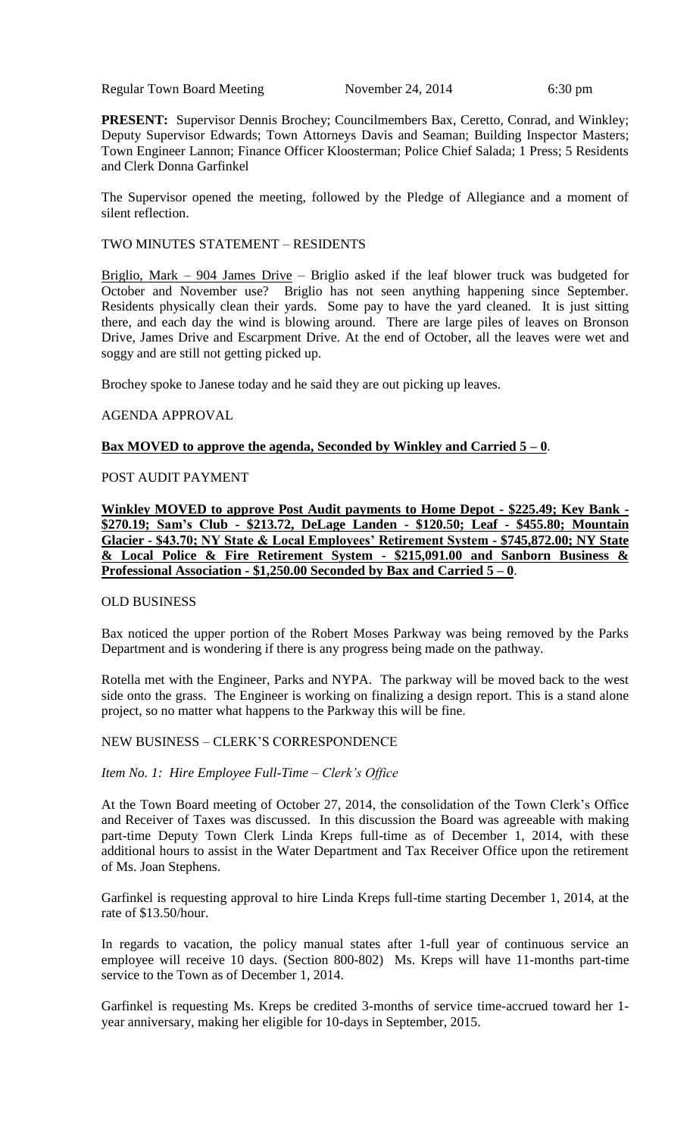Regular Town Board Meeting November 24, 2014 6:30 pm

**PRESENT:** Supervisor Dennis Brochey; Councilmembers Bax, Ceretto, Conrad, and Winkley; Deputy Supervisor Edwards; Town Attorneys Davis and Seaman; Building Inspector Masters; Town Engineer Lannon; Finance Officer Kloosterman; Police Chief Salada; 1 Press; 5 Residents and Clerk Donna Garfinkel

The Supervisor opened the meeting, followed by the Pledge of Allegiance and a moment of silent reflection.

### TWO MINUTES STATEMENT – RESIDENTS

Briglio, Mark – 904 James Drive – Briglio asked if the leaf blower truck was budgeted for October and November use? Briglio has not seen anything happening since September. Residents physically clean their yards. Some pay to have the yard cleaned. It is just sitting there, and each day the wind is blowing around. There are large piles of leaves on Bronson Drive, James Drive and Escarpment Drive. At the end of October, all the leaves were wet and soggy and are still not getting picked up.

Brochey spoke to Janese today and he said they are out picking up leaves.

# AGENDA APPROVAL

# **Bax MOVED to approve the agenda, Seconded by Winkley and Carried 5 – 0**.

# POST AUDIT PAYMENT

**Winkley MOVED to approve Post Audit payments to Home Depot - \$225.49; Key Bank - \$270.19; Sam's Club - \$213.72, DeLage Landen - \$120.50; Leaf - \$455.80; Mountain Glacier - \$43.70; NY State & Local Employees' Retirement System - \$745,872.00; NY State & Local Police & Fire Retirement System - \$215,091.00 and Sanborn Business & Professional Association - \$1,250.00 Seconded by Bax and Carried 5 – 0**.

### OLD BUSINESS

Bax noticed the upper portion of the Robert Moses Parkway was being removed by the Parks Department and is wondering if there is any progress being made on the pathway.

Rotella met with the Engineer, Parks and NYPA. The parkway will be moved back to the west side onto the grass. The Engineer is working on finalizing a design report. This is a stand alone project, so no matter what happens to the Parkway this will be fine.

# NEW BUSINESS – CLERK'S CORRESPONDENCE

### *Item No. 1: Hire Employee Full-Time – Clerk's Office*

At the Town Board meeting of October 27, 2014, the consolidation of the Town Clerk's Office and Receiver of Taxes was discussed. In this discussion the Board was agreeable with making part-time Deputy Town Clerk Linda Kreps full-time as of December 1, 2014, with these additional hours to assist in the Water Department and Tax Receiver Office upon the retirement of Ms. Joan Stephens.

Garfinkel is requesting approval to hire Linda Kreps full-time starting December 1, 2014, at the rate of \$13.50/hour.

In regards to vacation, the policy manual states after 1-full year of continuous service an employee will receive 10 days. (Section 800-802) Ms. Kreps will have 11-months part-time service to the Town as of December 1, 2014.

Garfinkel is requesting Ms. Kreps be credited 3-months of service time-accrued toward her 1 year anniversary, making her eligible for 10-days in September, 2015.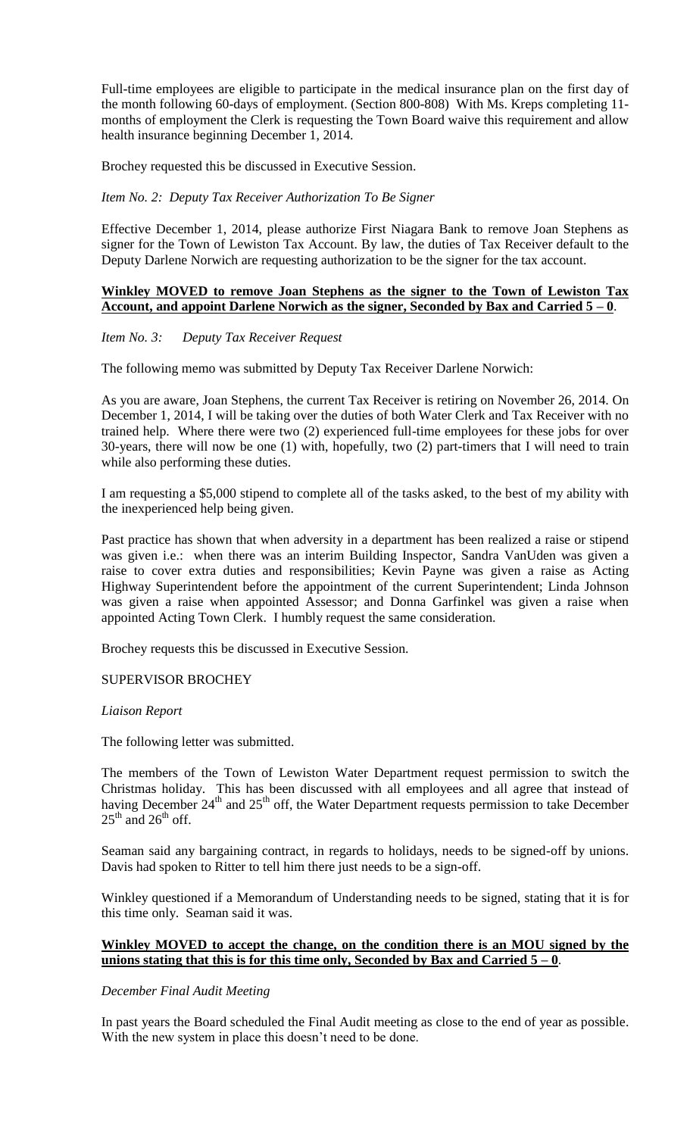Full-time employees are eligible to participate in the medical insurance plan on the first day of the month following 60-days of employment. (Section 800-808) With Ms. Kreps completing 11 months of employment the Clerk is requesting the Town Board waive this requirement and allow health insurance beginning December 1, 2014.

Brochey requested this be discussed in Executive Session.

*Item No. 2: Deputy Tax Receiver Authorization To Be Signer*

Effective December 1, 2014, please authorize First Niagara Bank to remove Joan Stephens as signer for the Town of Lewiston Tax Account. By law, the duties of Tax Receiver default to the Deputy Darlene Norwich are requesting authorization to be the signer for the tax account.

### **Winkley MOVED to remove Joan Stephens as the signer to the Town of Lewiston Tax Account, and appoint Darlene Norwich as the signer, Seconded by Bax and Carried 5 – 0**.

### *Item No. 3: Deputy Tax Receiver Request*

The following memo was submitted by Deputy Tax Receiver Darlene Norwich:

As you are aware, Joan Stephens, the current Tax Receiver is retiring on November 26, 2014. On December 1, 2014, I will be taking over the duties of both Water Clerk and Tax Receiver with no trained help. Where there were two (2) experienced full-time employees for these jobs for over 30-years, there will now be one (1) with, hopefully, two (2) part-timers that I will need to train while also performing these duties.

I am requesting a \$5,000 stipend to complete all of the tasks asked, to the best of my ability with the inexperienced help being given.

Past practice has shown that when adversity in a department has been realized a raise or stipend was given i.e.: when there was an interim Building Inspector, Sandra VanUden was given a raise to cover extra duties and responsibilities; Kevin Payne was given a raise as Acting Highway Superintendent before the appointment of the current Superintendent; Linda Johnson was given a raise when appointed Assessor; and Donna Garfinkel was given a raise when appointed Acting Town Clerk. I humbly request the same consideration.

Brochey requests this be discussed in Executive Session.

# SUPERVISOR BROCHEY

#### *Liaison Report*

The following letter was submitted.

The members of the Town of Lewiston Water Department request permission to switch the Christmas holiday. This has been discussed with all employees and all agree that instead of having December  $24<sup>th</sup>$  and  $25<sup>th</sup>$  off, the Water Department requests permission to take December  $25<sup>th</sup>$  and  $26<sup>th</sup>$  off.

Seaman said any bargaining contract, in regards to holidays, needs to be signed-off by unions. Davis had spoken to Ritter to tell him there just needs to be a sign-off.

Winkley questioned if a Memorandum of Understanding needs to be signed, stating that it is for this time only. Seaman said it was.

# **Winkley MOVED to accept the change, on the condition there is an MOU signed by the**  unions stating that this is for this time only, Seconded by Bax and Carried  $5 - 0$ .

#### *December Final Audit Meeting*

In past years the Board scheduled the Final Audit meeting as close to the end of year as possible. With the new system in place this doesn't need to be done.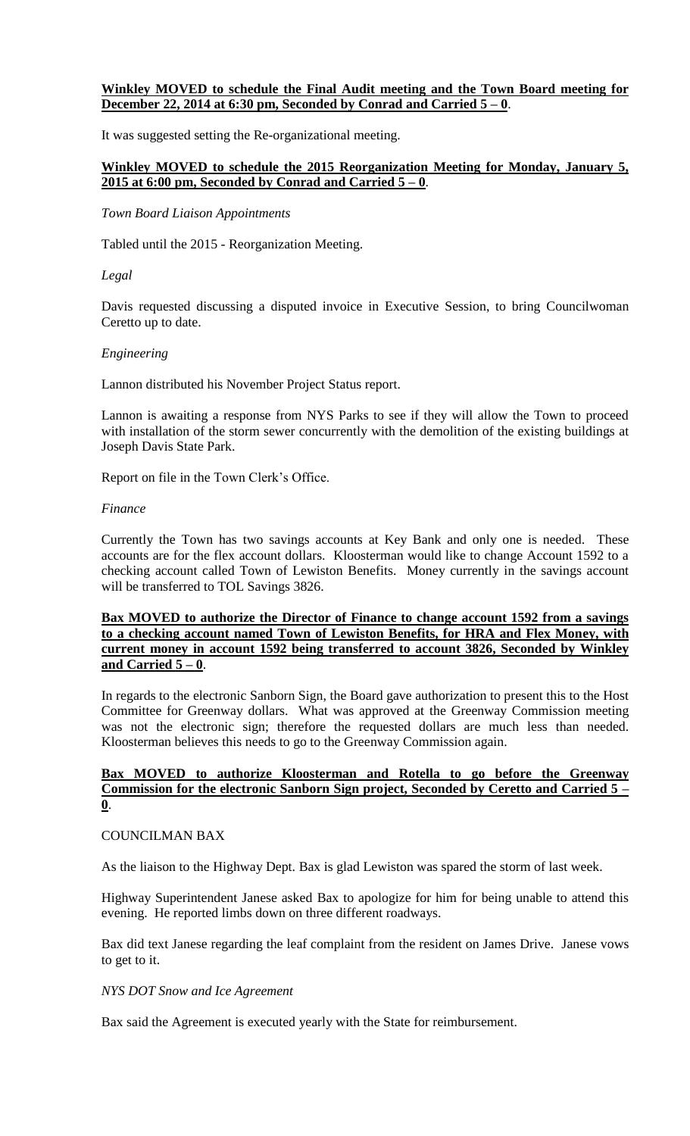# **Winkley MOVED to schedule the Final Audit meeting and the Town Board meeting for December 22, 2014 at 6:30 pm, Seconded by Conrad and Carried 5 – 0**.

It was suggested setting the Re-organizational meeting.

# **Winkley MOVED to schedule the 2015 Reorganization Meeting for Monday, January 5, 2015 at 6:00 pm, Seconded by Conrad and Carried 5 – 0**.

*Town Board Liaison Appointments* 

Tabled until the 2015 - Reorganization Meeting.

*Legal*

Davis requested discussing a disputed invoice in Executive Session, to bring Councilwoman Ceretto up to date.

### *Engineering*

Lannon distributed his November Project Status report.

Lannon is awaiting a response from NYS Parks to see if they will allow the Town to proceed with installation of the storm sewer concurrently with the demolition of the existing buildings at Joseph Davis State Park.

Report on file in the Town Clerk's Office.

#### *Finance*

Currently the Town has two savings accounts at Key Bank and only one is needed. These accounts are for the flex account dollars. Kloosterman would like to change Account 1592 to a checking account called Town of Lewiston Benefits. Money currently in the savings account will be transferred to TOL Savings 3826.

# **Bax MOVED to authorize the Director of Finance to change account 1592 from a savings to a checking account named Town of Lewiston Benefits, for HRA and Flex Money, with current money in account 1592 being transferred to account 3826, Seconded by Winkley and Carried 5 – 0**.

In regards to the electronic Sanborn Sign, the Board gave authorization to present this to the Host Committee for Greenway dollars. What was approved at the Greenway Commission meeting was not the electronic sign; therefore the requested dollars are much less than needed. Kloosterman believes this needs to go to the Greenway Commission again.

# **Bax MOVED to authorize Kloosterman and Rotella to go before the Greenway Commission for the electronic Sanborn Sign project, Seconded by Ceretto and Carried 5 – 0**.

### COUNCILMAN BAX

As the liaison to the Highway Dept. Bax is glad Lewiston was spared the storm of last week.

Highway Superintendent Janese asked Bax to apologize for him for being unable to attend this evening. He reported limbs down on three different roadways.

Bax did text Janese regarding the leaf complaint from the resident on James Drive. Janese vows to get to it.

### *NYS DOT Snow and Ice Agreement*

Bax said the Agreement is executed yearly with the State for reimbursement.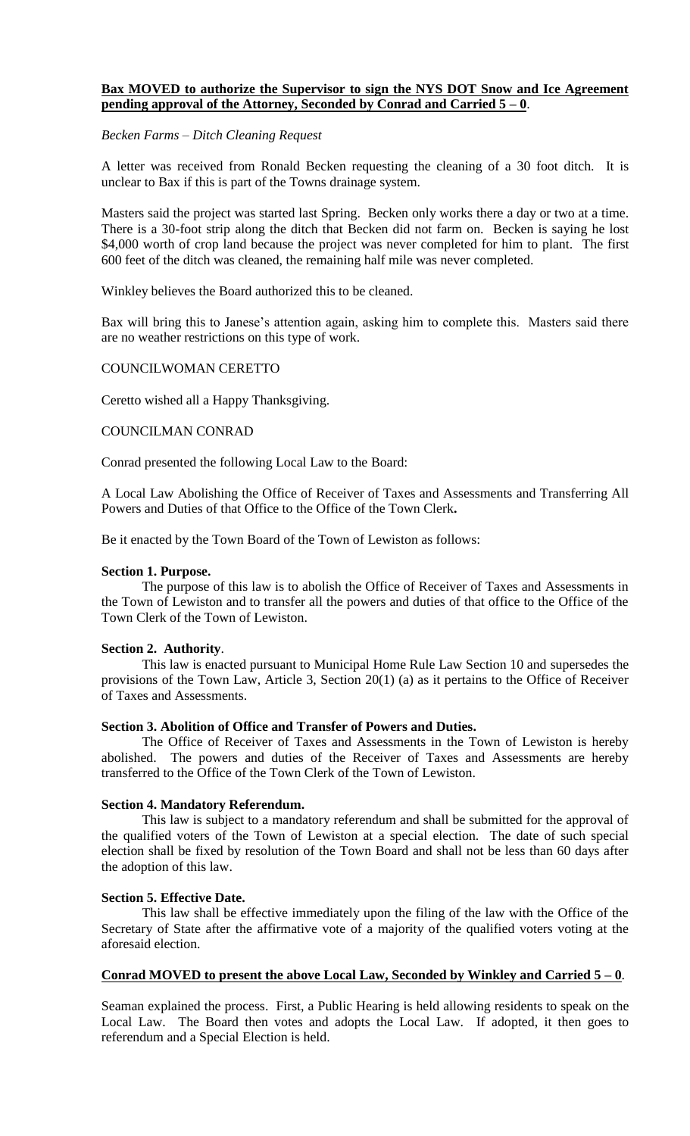# **Bax MOVED to authorize the Supervisor to sign the NYS DOT Snow and Ice Agreement pending approval of the Attorney, Seconded by Conrad and Carried 5 – 0**.

# *Becken Farms – Ditch Cleaning Request*

A letter was received from Ronald Becken requesting the cleaning of a 30 foot ditch. It is unclear to Bax if this is part of the Towns drainage system.

Masters said the project was started last Spring. Becken only works there a day or two at a time. There is a 30-foot strip along the ditch that Becken did not farm on. Becken is saying he lost \$4,000 worth of crop land because the project was never completed for him to plant. The first 600 feet of the ditch was cleaned, the remaining half mile was never completed.

Winkley believes the Board authorized this to be cleaned.

Bax will bring this to Janese's attention again, asking him to complete this. Masters said there are no weather restrictions on this type of work.

# COUNCILWOMAN CERETTO

Ceretto wished all a Happy Thanksgiving.

### COUNCILMAN CONRAD

Conrad presented the following Local Law to the Board:

A Local Law Abolishing the Office of Receiver of Taxes and Assessments and Transferring All Powers and Duties of that Office to the Office of the Town Clerk**.**

Be it enacted by the Town Board of the Town of Lewiston as follows:

### **Section 1. Purpose.**

The purpose of this law is to abolish the Office of Receiver of Taxes and Assessments in the Town of Lewiston and to transfer all the powers and duties of that office to the Office of the Town Clerk of the Town of Lewiston.

# **Section 2. Authority**.

This law is enacted pursuant to Municipal Home Rule Law Section 10 and supersedes the provisions of the Town Law, Article 3, Section 20(1) (a) as it pertains to the Office of Receiver of Taxes and Assessments.

#### **Section 3. Abolition of Office and Transfer of Powers and Duties.**

The Office of Receiver of Taxes and Assessments in the Town of Lewiston is hereby abolished. The powers and duties of the Receiver of Taxes and Assessments are hereby transferred to the Office of the Town Clerk of the Town of Lewiston.

# **Section 4. Mandatory Referendum.**

This law is subject to a mandatory referendum and shall be submitted for the approval of the qualified voters of the Town of Lewiston at a special election. The date of such special election shall be fixed by resolution of the Town Board and shall not be less than 60 days after the adoption of this law.

# **Section 5. Effective Date.**

This law shall be effective immediately upon the filing of the law with the Office of the Secretary of State after the affirmative vote of a majority of the qualified voters voting at the aforesaid election.

# **Conrad MOVED to present the above Local Law, Seconded by Winkley and Carried 5 – 0**.

Seaman explained the process. First, a Public Hearing is held allowing residents to speak on the Local Law. The Board then votes and adopts the Local Law. If adopted, it then goes to referendum and a Special Election is held.